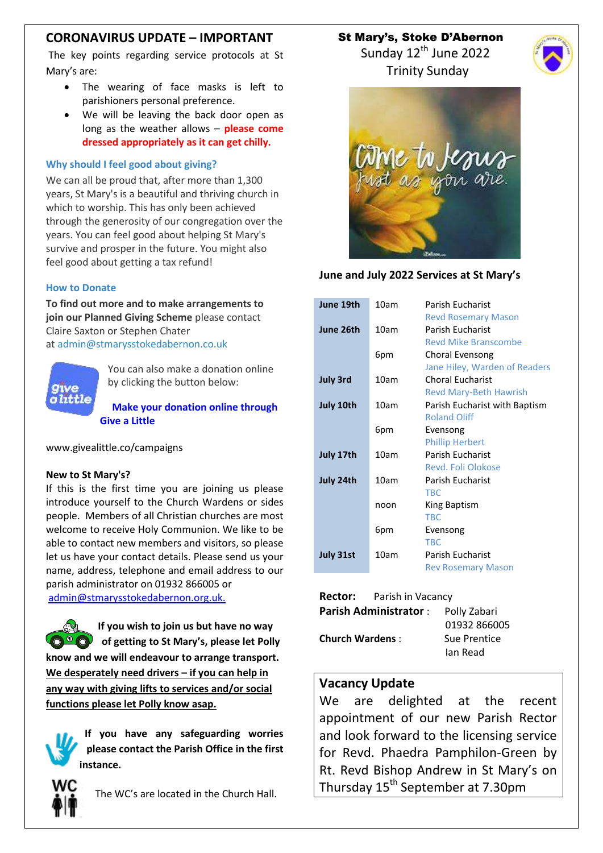## **CORONAVIRUS UPDATE – IMPORTANT**

The key points regarding service protocols at St Mary's are:

- The wearing of face masks is left to parishioners personal preference.
- We will be leaving the back door open as long as the weather allows – **please come dressed appropriately as it can get chilly.**

#### **Why should I feel good about giving?**

We can all be proud that, after more than 1,300 years, St Mary's is a beautiful and thriving church in which to worship. This has only been achieved through the generosity of our congregation over the years. You can feel good about helping St Mary's survive and prosper in the future. You might also feel good about getting a tax refund!

#### **How to Donate**

**To find out more and to make arrangements to join our Planned Giving Scheme** please contact Claire Saxton or Stephen Chater at [admin@stmarysstokedabernon.co.uk](mailto:info@stmarysstokedabernon.co.uk)



You can also make a donation online by clicking the button below:

**Make your [donation](https://givealittle.co/campaigns/7d65d2c5-4189-45f4-9027-11ecb5814414) online through Give a [Little](https://givealittle.co/campaigns/7d65d2c5-4189-45f4-9027-11ecb5814414)**

www.givealittle.co/campaigns

#### **New to St Mary's?**

If this is the first time you are joining us please introduce yourself to the Church Wardens or sides people. Members of all Christian churches are most welcome to receive Holy Communion. We like to be able to contact new members and visitors, so please let us have your contact details. Please send us your name, address, telephone and email address to our parish administrator on 01932 866005 or [admin@stmarysstokedabernon.org.uk.](mailto:admin@stmarysstokedabernon.org.uk)

**If you wish to join us but have no way of getting to St Mary's, please let Polly know and we will endeavour to arrange transport. We desperately need drivers – if you can help in any way with giving lifts to services and/or social functions please let Polly know asap.**

**If you have any safeguarding worries please contact the Parish Office in the first instance.**



The WC's are located in the Church Hall.

 St Mary's, Stoke D'Abernon Sunday  $12^{th}$  June 2022

Trinity Sunday



#### **June and July 2022 Services at St Mary's**

| June 19th       | 10am | Parish Fucharist<br><b>Revd Rosemary Mason</b>           |
|-----------------|------|----------------------------------------------------------|
| June 26th       | 10am | Parish Fucharist<br><b>Revd Mike Branscombe</b>          |
|                 | 6pm  | Choral Evensong<br>Jane Hiley, Warden of Readers         |
| <b>July 3rd</b> | 10am | <b>Choral Eucharist</b><br><b>Revd Mary-Beth Hawrish</b> |
| July 10th       | 10am | Parish Eucharist with Baptism<br><b>Roland Oliff</b>     |
|                 | 6pm  | Evensong<br><b>Phillip Herbert</b>                       |
| July 17th       | 10am | Parish Fucharist<br>Revd. Foli Olokose                   |
| July 24th       | 10am | <b>Parish Eucharist</b><br><b>TRC</b>                    |
|                 | noon | King Baptism<br><b>TBC</b>                               |
|                 | 6pm  | Evensong<br><b>TRC</b>                                   |
| July 31st       | 10am | <b>Parish Eucharist</b><br><b>Rev Rosemary Mason</b>     |

|                              | <b>Rector:</b> Parish in Vacancy |              |
|------------------------------|----------------------------------|--------------|
| <b>Parish Administrator:</b> |                                  | Polly Zabari |
|                              |                                  | 01932 866005 |
| <b>Church Wardens:</b>       |                                  | Sue Prentice |
|                              |                                  | lan Read     |

### **Vacancy Update**

We are delighted at the recent appointment of our new Parish Rector and look forward to the licensing service for Revd. Phaedra Pamphilon-Green by Rt. Revd Bishop Andrew in St Mary's on Thursday 15<sup>th</sup> September at 7.30pm